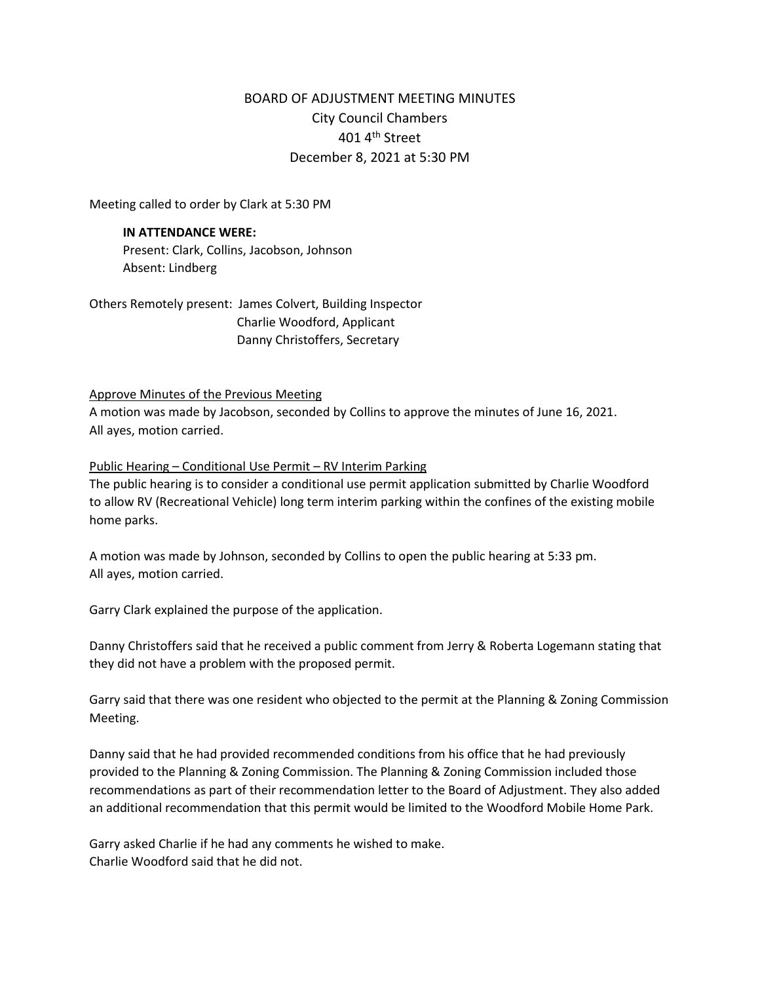# BOARD OF ADJUSTMENT MEETING MINUTES City Council Chambers 401 4th Street December 8, 2021 at 5:30 PM

Meeting called to order by Clark at 5:30 PM

#### **IN ATTENDANCE WERE:**

Present: Clark, Collins, Jacobson, Johnson Absent: Lindberg

Others Remotely present: James Colvert, Building Inspector Charlie Woodford, Applicant Danny Christoffers, Secretary

#### Approve Minutes of the Previous Meeting

A motion was made by Jacobson, seconded by Collins to approve the minutes of June 16, 2021. All ayes, motion carried.

#### Public Hearing – Conditional Use Permit – RV Interim Parking

The public hearing is to consider a conditional use permit application submitted by Charlie Woodford to allow RV (Recreational Vehicle) long term interim parking within the confines of the existing mobile home parks.

A motion was made by Johnson, seconded by Collins to open the public hearing at 5:33 pm. All ayes, motion carried.

Garry Clark explained the purpose of the application.

Danny Christoffers said that he received a public comment from Jerry & Roberta Logemann stating that they did not have a problem with the proposed permit.

Garry said that there was one resident who objected to the permit at the Planning & Zoning Commission Meeting.

Danny said that he had provided recommended conditions from his office that he had previously provided to the Planning & Zoning Commission. The Planning & Zoning Commission included those recommendations as part of their recommendation letter to the Board of Adjustment. They also added an additional recommendation that this permit would be limited to the Woodford Mobile Home Park.

Garry asked Charlie if he had any comments he wished to make. Charlie Woodford said that he did not.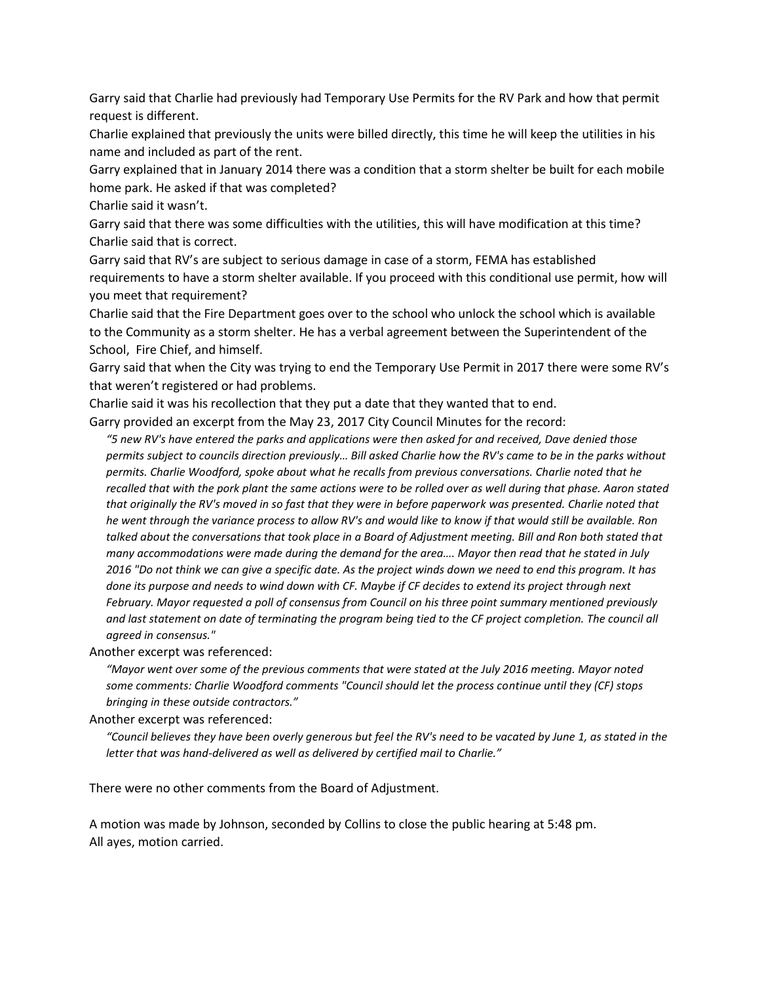Garry said that Charlie had previously had Temporary Use Permits for the RV Park and how that permit request is different.

Charlie explained that previously the units were billed directly, this time he will keep the utilities in his name and included as part of the rent.

Garry explained that in January 2014 there was a condition that a storm shelter be built for each mobile home park. He asked if that was completed?

Charlie said it wasn't.

Garry said that there was some difficulties with the utilities, this will have modification at this time? Charlie said that is correct.

Garry said that RV's are subject to serious damage in case of a storm, FEMA has established requirements to have a storm shelter available. If you proceed with this conditional use permit, how will you meet that requirement?

Charlie said that the Fire Department goes over to the school who unlock the school which is available to the Community as a storm shelter. He has a verbal agreement between the Superintendent of the School, Fire Chief, and himself.

Garry said that when the City was trying to end the Temporary Use Permit in 2017 there were some RV's that weren't registered or had problems.

Charlie said it was his recollection that they put a date that they wanted that to end.

Garry provided an excerpt from the May 23, 2017 City Council Minutes for the record:

*"5 new RV's have entered the parks and applications were then asked for and received, Dave denied those permits subject to councils direction previously… Bill asked Charlie how the RV's came to be in the parks without permits. Charlie Woodford, spoke about what he recalls from previous conversations. Charlie noted that he recalled that with the pork plant the same actions were to be rolled over as well during that phase. Aaron stated that originally the RV's moved in so fast that they were in before paperwork was presented. Charlie noted that he went through the variance process to allow RV's and would like to know if that would still be available. Ron*  talked about the conversations that took place in a Board of Adjustment meeting. Bill and Ron both stated that *many accommodations were made during the demand for the area…. Mayor then read that he stated in July 2016 "Do not think we can give a specific date. As the project winds down we need to end this program. It has done its purpose and needs to wind down with CF. Maybe if CF decides to extend its project through next February. Mayor requested a poll of consensus from Council on his three point summary mentioned previously*  and last statement on date of terminating the program being tied to the CF project completion. The council all *agreed in consensus."*

Another excerpt was referenced:

*"Mayor went over some of the previous comments that were stated at the July 2016 meeting. Mayor noted some comments: Charlie Woodford comments "Council should let the process continue until they (CF) stops bringing in these outside contractors."*

Another excerpt was referenced:

*"Council believes they have been overly generous but feel the RV's need to be vacated by June 1, as stated in the letter that was hand-delivered as well as delivered by certified mail to Charlie."*

There were no other comments from the Board of Adjustment.

A motion was made by Johnson, seconded by Collins to close the public hearing at 5:48 pm. All ayes, motion carried.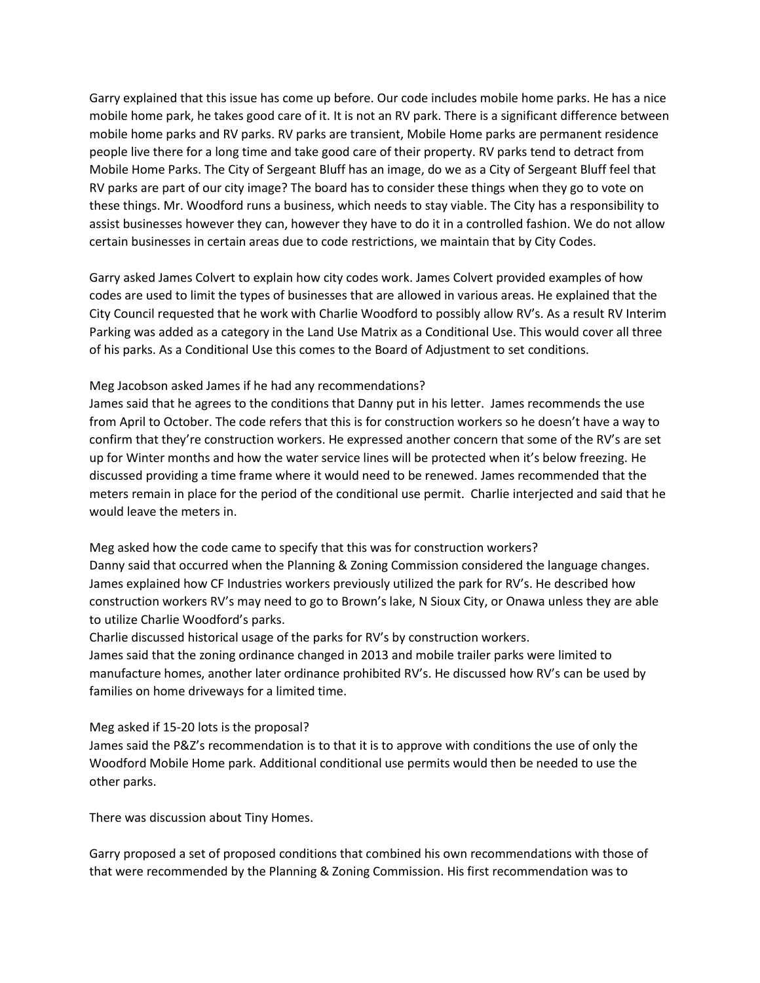Garry explained that this issue has come up before. Our code includes mobile home parks. He has a nice mobile home park, he takes good care of it. It is not an RV park. There is a significant difference between mobile home parks and RV parks. RV parks are transient, Mobile Home parks are permanent residence people live there for a long time and take good care of their property. RV parks tend to detract from Mobile Home Parks. The City of Sergeant Bluff has an image, do we as a City of Sergeant Bluff feel that RV parks are part of our city image? The board has to consider these things when they go to vote on these things. Mr. Woodford runs a business, which needs to stay viable. The City has a responsibility to assist businesses however they can, however they have to do it in a controlled fashion. We do not allow certain businesses in certain areas due to code restrictions, we maintain that by City Codes.

Garry asked James Colvert to explain how city codes work. James Colvert provided examples of how codes are used to limit the types of businesses that are allowed in various areas. He explained that the City Council requested that he work with Charlie Woodford to possibly allow RV's. As a result RV Interim Parking was added as a category in the Land Use Matrix as a Conditional Use. This would cover all three of his parks. As a Conditional Use this comes to the Board of Adjustment to set conditions.

## Meg Jacobson asked James if he had any recommendations?

James said that he agrees to the conditions that Danny put in his letter. James recommends the use from April to October. The code refers that this is for construction workers so he doesn't have a way to confirm that they're construction workers. He expressed another concern that some of the RV's are set up for Winter months and how the water service lines will be protected when it's below freezing. He discussed providing a time frame where it would need to be renewed. James recommended that the meters remain in place for the period of the conditional use permit. Charlie interjected and said that he would leave the meters in.

Meg asked how the code came to specify that this was for construction workers? Danny said that occurred when the Planning & Zoning Commission considered the language changes. James explained how CF Industries workers previously utilized the park for RV's. He described how construction workers RV's may need to go to Brown's lake, N Sioux City, or Onawa unless they are able to utilize Charlie Woodford's parks.

Charlie discussed historical usage of the parks for RV's by construction workers.

James said that the zoning ordinance changed in 2013 and mobile trailer parks were limited to manufacture homes, another later ordinance prohibited RV's. He discussed how RV's can be used by families on home driveways for a limited time.

### Meg asked if 15-20 lots is the proposal?

James said the P&Z's recommendation is to that it is to approve with conditions the use of only the Woodford Mobile Home park. Additional conditional use permits would then be needed to use the other parks.

There was discussion about Tiny Homes.

Garry proposed a set of proposed conditions that combined his own recommendations with those of that were recommended by the Planning & Zoning Commission. His first recommendation was to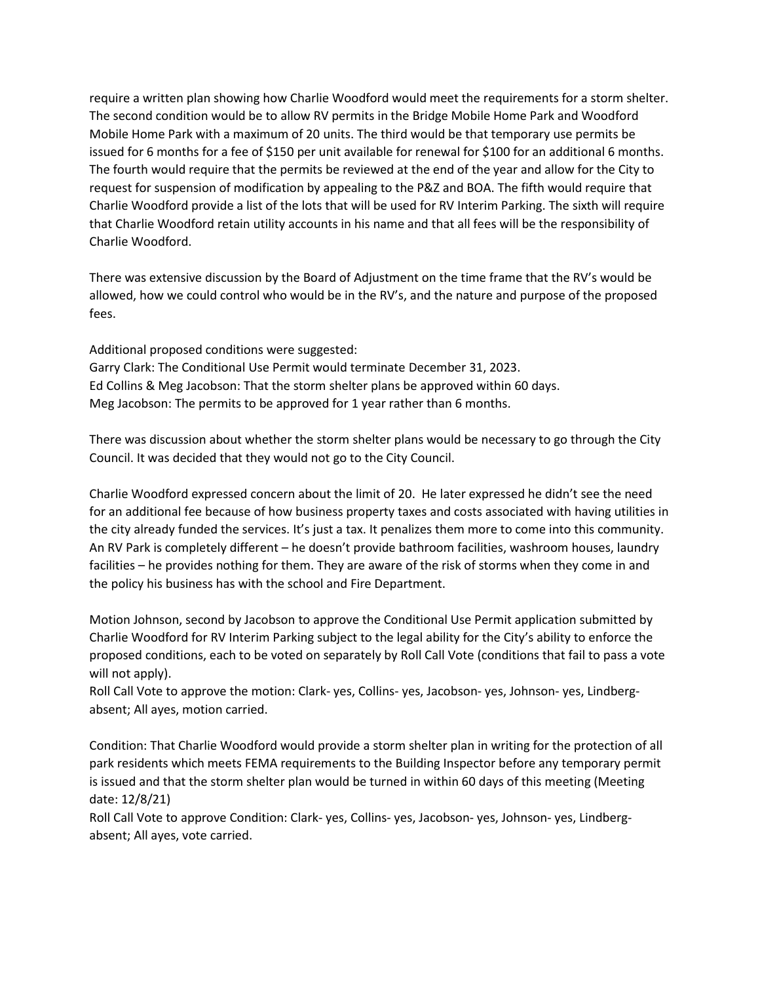require a written plan showing how Charlie Woodford would meet the requirements for a storm shelter. The second condition would be to allow RV permits in the Bridge Mobile Home Park and Woodford Mobile Home Park with a maximum of 20 units. The third would be that temporary use permits be issued for 6 months for a fee of \$150 per unit available for renewal for \$100 for an additional 6 months. The fourth would require that the permits be reviewed at the end of the year and allow for the City to request for suspension of modification by appealing to the P&Z and BOA. The fifth would require that Charlie Woodford provide a list of the lots that will be used for RV Interim Parking. The sixth will require that Charlie Woodford retain utility accounts in his name and that all fees will be the responsibility of Charlie Woodford.

There was extensive discussion by the Board of Adjustment on the time frame that the RV's would be allowed, how we could control who would be in the RV's, and the nature and purpose of the proposed fees.

Additional proposed conditions were suggested:

Garry Clark: The Conditional Use Permit would terminate December 31, 2023. Ed Collins & Meg Jacobson: That the storm shelter plans be approved within 60 days. Meg Jacobson: The permits to be approved for 1 year rather than 6 months.

There was discussion about whether the storm shelter plans would be necessary to go through the City Council. It was decided that they would not go to the City Council.

Charlie Woodford expressed concern about the limit of 20. He later expressed he didn't see the need for an additional fee because of how business property taxes and costs associated with having utilities in the city already funded the services. It's just a tax. It penalizes them more to come into this community. An RV Park is completely different – he doesn't provide bathroom facilities, washroom houses, laundry facilities – he provides nothing for them. They are aware of the risk of storms when they come in and the policy his business has with the school and Fire Department.

Motion Johnson, second by Jacobson to approve the Conditional Use Permit application submitted by Charlie Woodford for RV Interim Parking subject to the legal ability for the City's ability to enforce the proposed conditions, each to be voted on separately by Roll Call Vote (conditions that fail to pass a vote will not apply).

Roll Call Vote to approve the motion: Clark- yes, Collins- yes, Jacobson- yes, Johnson- yes, Lindbergabsent; All ayes, motion carried.

Condition: That Charlie Woodford would provide a storm shelter plan in writing for the protection of all park residents which meets FEMA requirements to the Building Inspector before any temporary permit is issued and that the storm shelter plan would be turned in within 60 days of this meeting (Meeting date: 12/8/21)

Roll Call Vote to approve Condition: Clark- yes, Collins- yes, Jacobson- yes, Johnson- yes, Lindbergabsent; All ayes, vote carried.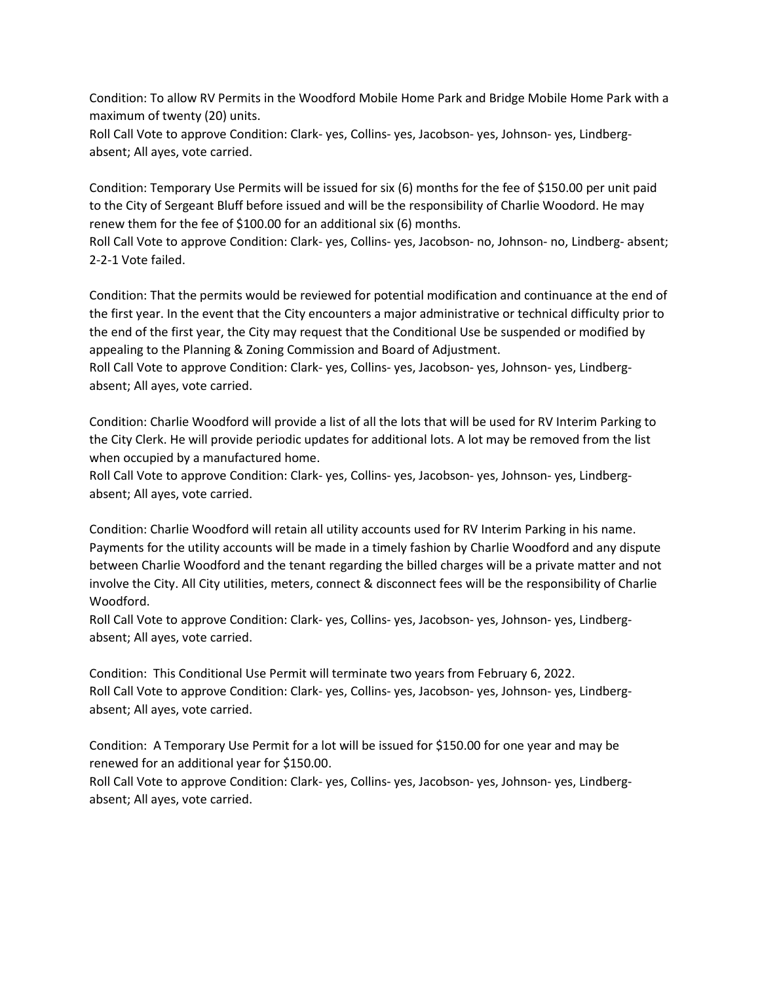Condition: To allow RV Permits in the Woodford Mobile Home Park and Bridge Mobile Home Park with a maximum of twenty (20) units.

Roll Call Vote to approve Condition: Clark- yes, Collins- yes, Jacobson- yes, Johnson- yes, Lindbergabsent; All ayes, vote carried.

Condition: Temporary Use Permits will be issued for six (6) months for the fee of \$150.00 per unit paid to the City of Sergeant Bluff before issued and will be the responsibility of Charlie Woodord. He may renew them for the fee of \$100.00 for an additional six (6) months.

Roll Call Vote to approve Condition: Clark- yes, Collins- yes, Jacobson- no, Johnson- no, Lindberg- absent; 2-2-1 Vote failed.

Condition: That the permits would be reviewed for potential modification and continuance at the end of the first year. In the event that the City encounters a major administrative or technical difficulty prior to the end of the first year, the City may request that the Conditional Use be suspended or modified by appealing to the Planning & Zoning Commission and Board of Adjustment.

Roll Call Vote to approve Condition: Clark- yes, Collins- yes, Jacobson- yes, Johnson- yes, Lindbergabsent; All ayes, vote carried.

Condition: Charlie Woodford will provide a list of all the lots that will be used for RV Interim Parking to the City Clerk. He will provide periodic updates for additional lots. A lot may be removed from the list when occupied by a manufactured home.

Roll Call Vote to approve Condition: Clark- yes, Collins- yes, Jacobson- yes, Johnson- yes, Lindbergabsent; All ayes, vote carried.

Condition: Charlie Woodford will retain all utility accounts used for RV Interim Parking in his name. Payments for the utility accounts will be made in a timely fashion by Charlie Woodford and any dispute between Charlie Woodford and the tenant regarding the billed charges will be a private matter and not involve the City. All City utilities, meters, connect & disconnect fees will be the responsibility of Charlie Woodford.

Roll Call Vote to approve Condition: Clark- yes, Collins- yes, Jacobson- yes, Johnson- yes, Lindbergabsent; All ayes, vote carried.

Condition: This Conditional Use Permit will terminate two years from February 6, 2022. Roll Call Vote to approve Condition: Clark- yes, Collins- yes, Jacobson- yes, Johnson- yes, Lindbergabsent; All ayes, vote carried.

Condition: A Temporary Use Permit for a lot will be issued for \$150.00 for one year and may be renewed for an additional year for \$150.00.

Roll Call Vote to approve Condition: Clark- yes, Collins- yes, Jacobson- yes, Johnson- yes, Lindbergabsent; All ayes, vote carried.